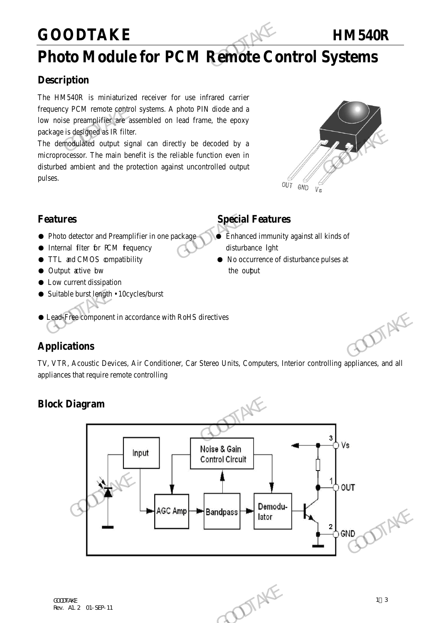## **GOODTAKE HM540R**

## **Photo Module for PCM Remote Control Systems**

### **Description**

The HM540R is miniaturized receiver for use infrared carrier frequency PCM remote control systems. A photo PIN diode and a low noise preamplifier are assembled on lead frame, the epoxy package is designed as IR filter. GOODTAKE<br>
Photo Module for PCM Remote Co.<br>
Description<br>
The HM540R is miniaturized receiver for use infrared carrier<br>
frequency PCM remote control systems. A photo PIN diode and a<br>
low noise preamplifier are assembled on l

The demodulated output signal can directly be decoded by a microprocessor. The main benefit is the reliable function even in disturbed ambient and the protection against uncontrolled output pulses. The derivative of the main benefit is the reliable function even in<br>
The chronological output signal can directly be decoded by a<br>
microprocessor. The main benefit is the reliable function even in<br>
disturbed ambient and t



- Photo detector and Preamplifier in one package Enhanced immunity against all kinds of
- Internal filter for PCM fequency disturbance light
- 
- Output active bw the output
- Low current dissipation
- Suitable burst length 10cycles/burst

## **Features** Special Features

- 
- TTL and CMOS compatibility No occurrence of disturbance pulses at
- Lead-Free component in accordance with RoHS directives

## **Applications**

TV, VTR, Acoustic Devices, Air Conditioner, Car Stereo Units, Computers, Interior controlling appliances, and all appliances that require remote controlling

## **Block Diagram**

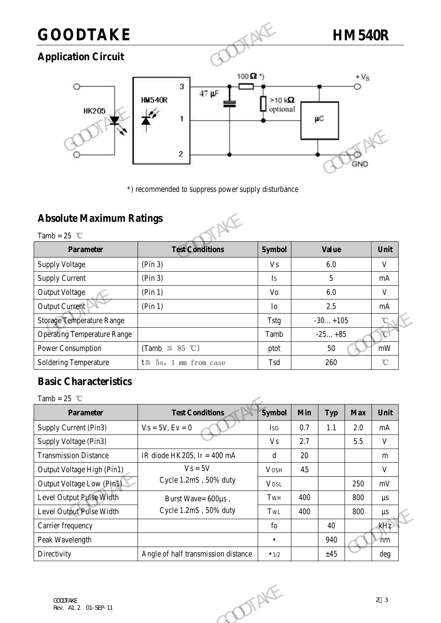## **GOODTAKE HM540R**

## **Application Circuit**



## **Absolute Maximum Ratings**



|                                    | $\mathbf{2}$                                        |                | GND          |               |
|------------------------------------|-----------------------------------------------------|----------------|--------------|---------------|
|                                    | *) recommended to suppress power supply disturbance |                |              |               |
| <b>Absolute Maximum Ratings</b>    |                                                     |                |              |               |
| Tamb = $25$ °C                     |                                                     |                |              |               |
| <b>Parameter</b>                   | <b>Test Conditions</b>                              | <b>Symbol</b>  | <b>Value</b> | Unit          |
| <b>Supply Voltage</b>              | (Pin 3)                                             | <b>Vs</b>      | 6.0          | V             |
| <b>Supply Current</b>              | (Pin 3)                                             | Is             | 5            | mA            |
| <b>Output Voltage</b>              | (Pin 1)                                             | Vo             | 6.0          | V             |
| <b>Output Current</b>              | (Pin 1)                                             | I <sub>O</sub> | 2.5          | mA            |
| <b>Storage Temperature Range</b>   |                                                     | <b>Tstg</b>    | $-30+105$    | $^{\circ}$ C  |
| <b>Operating Temperature Range</b> |                                                     | Tamb           | $-25+85$     | $\mathcal{C}$ |
| <b>Power Consumption</b>           | (Tamb $\leq$ 85 °C)                                 | ptot           | 50           | mW            |
| Soldering Temperature              | $t \leq 5s$ , 1 mm from case                        | Tsd            | 260          | $^{\circ}$ C  |

## **Basic Characteristics**

| <b>Storage Temperature Range</b>   |                                     | <b>Tstg</b>   |     | $-30+105$  |            | $\rm ^{\circ}C$   |
|------------------------------------|-------------------------------------|---------------|-----|------------|------------|-------------------|
| <b>Operating Temperature Range</b> |                                     | Tamb          |     | $-25+85$   |            | $\mathcal{C}$     |
| <b>Power Consumption</b>           | (Tamb $\leq$ 85 °C)                 | ptot          |     | 50         |            | $\rm mW$          |
| <b>Soldering Temperature</b>       | $t \leq 5s$ , 1 mm from case        | Tsd           |     | 260        |            | $^\circ\!{\rm C}$ |
| <b>Basic Characteristics</b>       |                                     |               |     |            |            |                   |
| Tamb = $25$ °C                     |                                     |               |     |            |            |                   |
| Parameter                          | <b>Test Conditions</b>              | <b>Symbol</b> | Min | <b>Typ</b> | <b>Max</b> | Unit              |
| Supply Current (Pin3)              | $Vs = 5V, Ev = 0$                   | <b>ISD</b>    | 0.7 | 1.1        | 2.0        | mA                |
| Supply Voltage (Pin3)              |                                     | <b>Vs</b>     | 2.7 |            | 5.5        | $\mathbf{V}$      |
| <b>Transmission Distance</b>       | IR diode HK205, $Ir = 400$ mA       | d             | 20  |            |            | m                 |
| Output Voltage High (Pin1)         | $V_s = 5V$                          | <b>VOSH</b>   | 4.5 |            |            | $\mathbf{V}$      |
| Output Voltage Low (Pin1)          | Cycle 1.2mS, 50% duty               | <b>VOSL</b>   |     |            | 250        | mV                |
| Level Output Pulse Width           | Burst Wave= 600µs,                  | TwH           | 400 |            | 800        | $\mu s$           |
| Level Output Pulse Width           | Cycle 1.2mS, 50% duty               | TWL           | 400 |            | 800        | $\mu s$           |
| Carrier frequency                  |                                     | ${\rm fo}$    |     | 40         |            | kHz               |
| Peak Wavelength                    |                                     | $\bullet$     |     | 940        |            | $\gamma$ mm       |
| Directivity                        | Angle of half transmission distance | $\bullet$ 1/2 |     | ±45        |            | deg               |